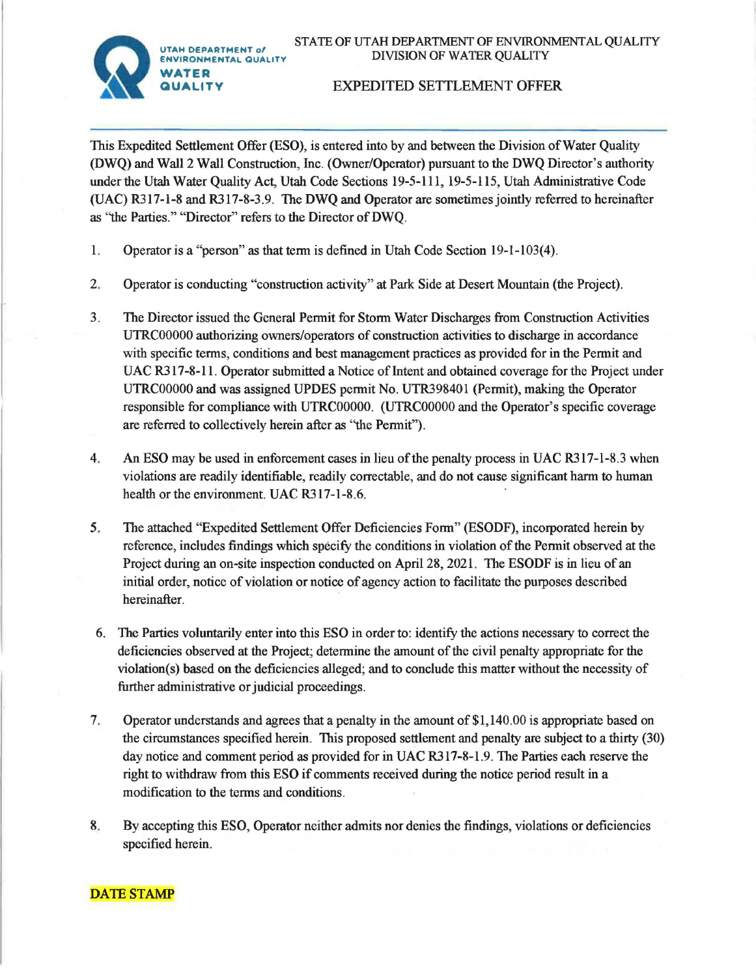STATE OF UTAH DEPARTMENT OF ENVIRONMENTAL QUALITY DIVISION OF WATER QUALITY



## EXPEDITED SETTLEMENT OFFER

This Expedited Settlement Offer (ESO), is entered into by and between the Division of Water Quality (DWQ) and Wall 2 Wall Construction, Inc. (Owner/Operator) pursuant to the DWQ Director's authority under the Utah Water Quality Act, Utah Code Sections 19-5-111, 19-5-115, Utah Administrative Code (UAC) R317-l-8 and R317-8-3.9. The DWQ and Operator are sometimes jointly referred to hereinafter as "the Parties." "Director" refers to the Director of **DWQ.** 

- 1. Operator is a "person" as that term is defined in Utah Code Section 19-1-103(4).
- 2. Operator is conducting "construction activity" at Park Side at Desert Mountain (the Project).
- 3. The Director issued the General Permit for Storm Water Discharges from Construction Activities UTRC00000 authorizing owners/operators of construction activities to discharge in accordance with specific terms, conditions and best management practices as provided for in the Permit and UAC R317-8-11. Operator submitted a Notice of Intent and obtained coverage for the Project under UTRC00000 and was assigned UPDES permit No. UTR398401 (Permit), making the Operator responsible for compliance with UTRC00000. (UTRC00000 and the Operator's specific coverage are referred to collectively herein after as ''the Permit").
- 4. An ESO may be used in enforcement cases in lieu of the penalty process in UAC R317-l-8.3 when violations are readily identifiable, readily correctable, and do not cause significant harm to human health or the environment. UAC R317-1-8.6.
- 5. The attached "Expedited Settlement Offer Deficiencies Form" (ESODF), incorporated herein by reference, includes findings which specify the conditions in violation of the Permit observed at the Project during an on-site inspection conducted on April 28, 2021. The ESODF is in lieu of an initial order, notice of violation or notice of agency action to facilitate the purposes described hereinafter.
- 6. The Parties voluntarily enter into this ESO in order to: identify the actions necessary to correct the deficiencies observed at the Project; determine the amount of the civil penalty appropriate for the violation(s) based on the deficiencies alleged; and to conclude this matter without the necessity of further administrative or judicial proceedings.
- 7. Operator understands and agrees that a penalty in the amount of \$1,140.00 is appropriate based on the circumstances specified herein. This proposed settlement and penalty are subject to a thirty (30) day notice and comment period as provided for in UAC R317-8-l.9. The Parties each reserve the right to withdraw from this ESO if comments received during the notice period result in a modification to the terms and conditions.
- 8. By accepting this ESO, Operator neither admits nor denies the findings, violations or deficiencies specified herein.

## DATE STAMP